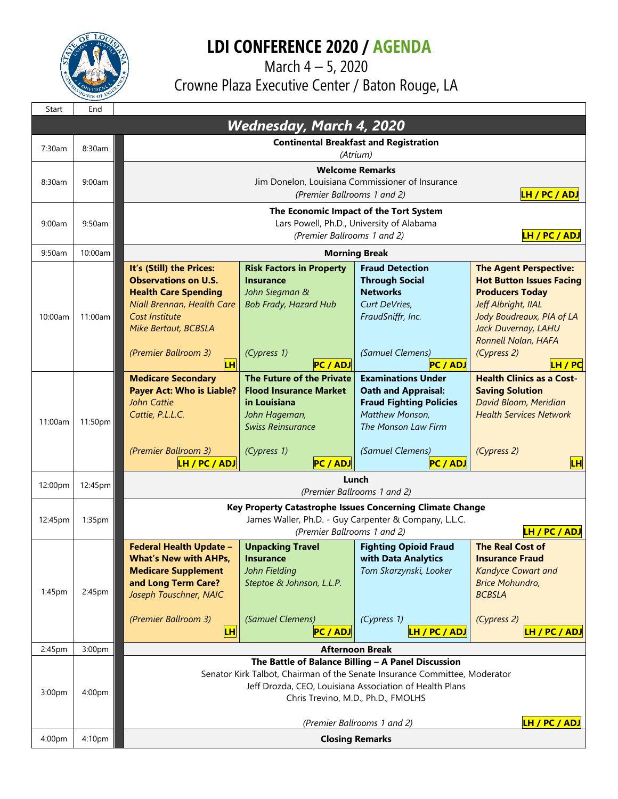

## **LDI CONFERENCE 2020 / AGENDA**

 March 4 – 5, 2020 Crowne Plaza Executive Center / Baton Rouge, LA

| Start                           | End     |                                                                                                                                                                                                                                   |                                                                                                                                                           |                                                                                                                                                                            |                                                                                                                                                                                                                        |  |  |  |
|---------------------------------|---------|-----------------------------------------------------------------------------------------------------------------------------------------------------------------------------------------------------------------------------------|-----------------------------------------------------------------------------------------------------------------------------------------------------------|----------------------------------------------------------------------------------------------------------------------------------------------------------------------------|------------------------------------------------------------------------------------------------------------------------------------------------------------------------------------------------------------------------|--|--|--|
| <b>Wednesday, March 4, 2020</b> |         |                                                                                                                                                                                                                                   |                                                                                                                                                           |                                                                                                                                                                            |                                                                                                                                                                                                                        |  |  |  |
| 7:30am                          | 8:30am  | <b>Continental Breakfast and Registration</b><br>(Atrium)                                                                                                                                                                         |                                                                                                                                                           |                                                                                                                                                                            |                                                                                                                                                                                                                        |  |  |  |
| 8:30am                          | 9:00am  | <b>Welcome Remarks</b><br>Jim Donelon, Louisiana Commissioner of Insurance<br>LH / PC / ADJ<br>(Premier Ballrooms 1 and 2)                                                                                                        |                                                                                                                                                           |                                                                                                                                                                            |                                                                                                                                                                                                                        |  |  |  |
| 9:00am                          | 9:50am  | The Economic Impact of the Tort System<br>Lars Powell, Ph.D., University of Alabama<br>LH / PC / ADJ<br>(Premier Ballrooms 1 and 2)                                                                                               |                                                                                                                                                           |                                                                                                                                                                            |                                                                                                                                                                                                                        |  |  |  |
| 9:50am                          | 10:00am |                                                                                                                                                                                                                                   | <b>Morning Break</b>                                                                                                                                      |                                                                                                                                                                            |                                                                                                                                                                                                                        |  |  |  |
| 10:00am                         | 11:00am | It's (Still) the Prices:<br><b>Observations on U.S.</b><br><b>Health Care Spending</b><br>Niall Brennan, Health Care<br>Cost Institute<br>Mike Bertaut, BCBSLA<br>(Premier Ballroom 3)<br><b>LH</b>                               | <b>Risk Factors in Property</b><br><b>Insurance</b><br>John Siegman &<br><b>Bob Frady, Hazard Hub</b><br>(Cypress 1)<br><b>PC / ADJ</b>                   | <b>Fraud Detection</b><br><b>Through Social</b><br><b>Networks</b><br>Curt DeVries,<br>FraudSniffr, Inc.<br>(Samuel Clemens)<br><b>PC / ADJ</b>                            | <b>The Agent Perspective:</b><br><b>Hot Button Issues Facing</b><br><b>Producers Today</b><br>Jeff Albright, IIAL<br>Jody Boudreaux, PIA of LA<br>Jack Duvernay, LAHU<br>Ronnell Nolan, HAFA<br>(Cypress 2)<br>LH / PC |  |  |  |
| 11:00am                         | 11:50pm | <b>Medicare Secondary</b><br><b>Payer Act: Who is Liable?</b><br><b>John Cattie</b><br>Cattie, P.L.L.C.<br>(Premier Ballroom 3)<br><b>LH / PC / ADJ</b>                                                                           | The Future of the Private<br><b>Flood Insurance Market</b><br>in Louisiana<br>John Hageman,<br><b>Swiss Reinsurance</b><br>(Cypress 1)<br><b>PC / ADJ</b> | <b>Examinations Under</b><br><b>Oath and Appraisal:</b><br><b>Fraud Fighting Policies</b><br>Matthew Monson,<br>The Monson Law Firm<br>(Samuel Clemens)<br><b>PC / ADJ</b> | <b>Health Clinics as a Cost-</b><br><b>Saving Solution</b><br>David Bloom, Meridian<br><b>Health Services Network</b><br>(Cypress 2)<br><mark>LН</mark>                                                                |  |  |  |
| 12:00pm                         | 12:45pm | Lunch<br>(Premier Ballrooms 1 and 2)                                                                                                                                                                                              |                                                                                                                                                           |                                                                                                                                                                            |                                                                                                                                                                                                                        |  |  |  |
| 12:45pm                         | 1:35pm  | Key Property Catastrophe Issues Concerning Climate Change<br>James Waller, Ph.D. - Guy Carpenter & Company, L.L.C.<br>LH / PC / ADJ<br>(Premier Ballrooms 1 and 2)                                                                |                                                                                                                                                           |                                                                                                                                                                            |                                                                                                                                                                                                                        |  |  |  |
| 1:45pm                          | 2:45pm  | <b>Federal Health Update -</b><br><b>What's New with AHPs,</b><br><b>Medicare Supplement</b><br>and Long Term Care?<br>Joseph Touschner, NAIC<br>(Premier Ballroom 3)<br><b>LH</b>                                                | <b>Unpacking Travel</b><br>Insurance<br>John Fielding<br>Steptoe & Johnson, L.L.P.<br>(Samuel Clemens)<br><b>PC / ADJ</b>                                 | <b>Fighting Opioid Fraud</b><br>with Data Analytics<br>Tom Skarzynski, Looker<br>(Cypress 1)<br><b>LH / PC / ADJ</b>                                                       | <b>The Real Cost of</b><br><b>Insurance Fraud</b><br><b>Kandyce Cowart and</b><br><b>Brice Mohundro,</b><br><b>BCBSLA</b><br>(Cypress 2)<br>LH / PC / ADJ                                                              |  |  |  |
| 2:45pm                          | 3:00pm  | <b>Afternoon Break</b>                                                                                                                                                                                                            |                                                                                                                                                           |                                                                                                                                                                            |                                                                                                                                                                                                                        |  |  |  |
| 3:00pm                          | 4:00pm  | The Battle of Balance Billing - A Panel Discussion<br>Senator Kirk Talbot, Chairman of the Senate Insurance Committee, Moderator<br>Jeff Drozda, CEO, Louisiana Association of Health Plans<br>Chris Trevino, M.D., Ph.D., FMOLHS |                                                                                                                                                           |                                                                                                                                                                            |                                                                                                                                                                                                                        |  |  |  |
|                                 |         | LH / PC / ADJ<br>(Premier Ballrooms 1 and 2)                                                                                                                                                                                      |                                                                                                                                                           |                                                                                                                                                                            |                                                                                                                                                                                                                        |  |  |  |
| 4:00pm                          | 4:10pm  | <b>Closing Remarks</b>                                                                                                                                                                                                            |                                                                                                                                                           |                                                                                                                                                                            |                                                                                                                                                                                                                        |  |  |  |